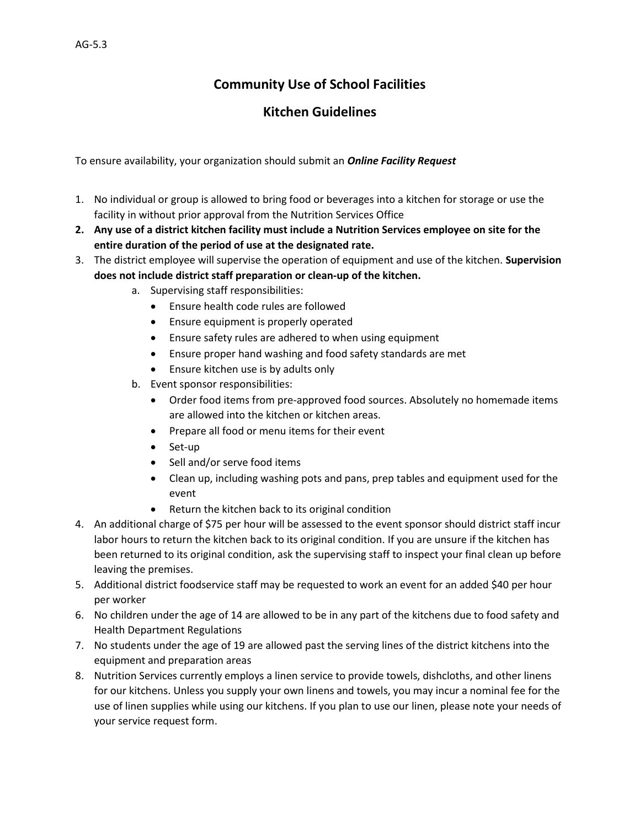# **Community Use of School Facilities**

# **Kitchen Guidelines**

To ensure availability, your organization should submit an *[Online Facility Request](http://www.rschooltoday.com/se3bin/clientgenie.cgi?schoolname=school646&statusFlag=goGenie&geniesite=7&myButton=g5plugin&db=g7_b45)*

- 1. No individual or group is allowed to bring food or beverages into a kitchen for storage or use the facility in without prior approval from the Nutrition Services Office
- **2. Any use of a district kitchen facility must include a Nutrition Services employee on site for the entire duration of the period of use at the designated rate.**
- 3. The district employee will supervise the operation of equipment and use of the kitchen. **Supervision does not include district staff preparation or clean-up of the kitchen.**
	- a. Supervising staff responsibilities:
		- Ensure health code rules are followed
		- **•** Ensure equipment is properly operated
		- Ensure safety rules are adhered to when using equipment
		- Ensure proper hand washing and food safety standards are met
		- Ensure kitchen use is by adults only
	- b. Event sponsor responsibilities:
		- Order food items from pre-approved food sources. Absolutely no homemade items are allowed into the kitchen or kitchen areas.
		- Prepare all food or menu items for their event
		- Set-up
		- Sell and/or serve food items
		- Clean up, including washing pots and pans, prep tables and equipment used for the event
		- Return the kitchen back to its original condition
- 4. An additional charge of \$75 per hour will be assessed to the event sponsor should district staff incur labor hours to return the kitchen back to its original condition. If you are unsure if the kitchen has been returned to its original condition, ask the supervising staff to inspect your final clean up before leaving the premises.
- 5. Additional district foodservice staff may be requested to work an event for an added \$40 per hour per worker
- 6. No children under the age of 14 are allowed to be in any part of the kitchens due to food safety and Health Department Regulations
- 7. No students under the age of 19 are allowed past the serving lines of the district kitchens into the equipment and preparation areas
- 8. Nutrition Services currently employs a linen service to provide towels, dishcloths, and other linens for our kitchens. Unless you supply your own linens and towels, you may incur a nominal fee for the use of linen supplies while using our kitchens. If you plan to use our linen, please note your needs of your service request form.